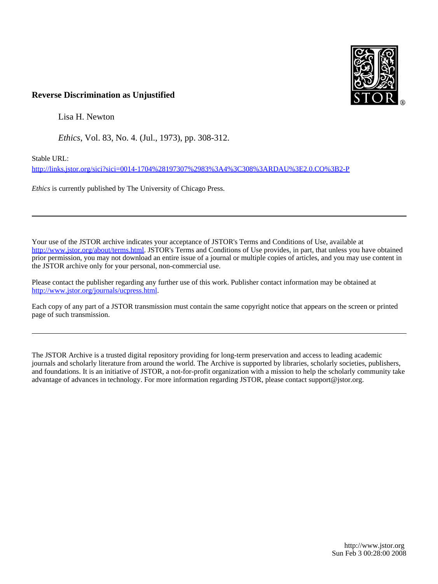

## **Reverse Discrimination as Unjustified**

Lisa H. Newton

*Ethics*, Vol. 83, No. 4. (Jul., 1973), pp. 308-312.

Stable URL:

<http://links.jstor.org/sici?sici=0014-1704%28197307%2983%3A4%3C308%3ARDAU%3E2.0.CO%3B2-P>

*Ethics* is currently published by The University of Chicago Press.

Your use of the JSTOR archive indicates your acceptance of JSTOR's Terms and Conditions of Use, available at [http://www.jstor.org/about/terms.html.](http://www.jstor.org/about/terms.html) JSTOR's Terms and Conditions of Use provides, in part, that unless you have obtained prior permission, you may not download an entire issue of a journal or multiple copies of articles, and you may use content in the JSTOR archive only for your personal, non-commercial use.

Please contact the publisher regarding any further use of this work. Publisher contact information may be obtained at <http://www.jstor.org/journals/ucpress.html>.

Each copy of any part of a JSTOR transmission must contain the same copyright notice that appears on the screen or printed page of such transmission.

The JSTOR Archive is a trusted digital repository providing for long-term preservation and access to leading academic journals and scholarly literature from around the world. The Archive is supported by libraries, scholarly societies, publishers, and foundations. It is an initiative of JSTOR, a not-for-profit organization with a mission to help the scholarly community take advantage of advances in technology. For more information regarding JSTOR, please contact support@jstor.org.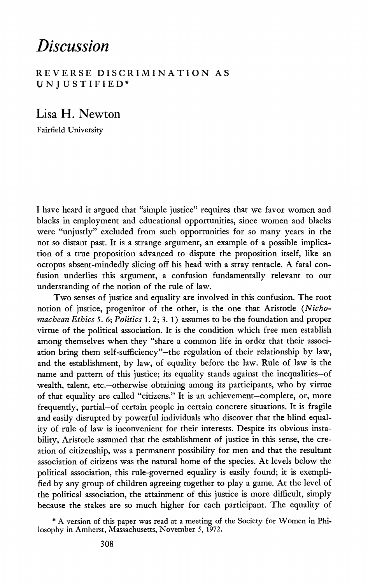## *Discussion*

## REVERSE DISCRIMINATION AS UNJUSTIFIED"

Lisa H. Newton

Fairfield University

I have heard it argued that "simple justice" requires that we favor women and blacks in employment and educational opportunities, since women and blacks were "unjustly" excluded from such opportunities for so many years in the not so distant past. It is a strange argument, an example of a possible implication of a true proposition advanced to dispute the proposition itself, like an octopus absent-mindedly slicing off his head with a stray tentacle. A fatal confusion underlies this argument, a confusion fundamentally relevant to our understanding of the notion of the rule of law.

Two senses of justice and equality are involved in this confusion. The root notion of justice, progenitor of the other, is the one that Aristotle *(Nicho- ~nachean Ethics 5.* 6; *Politics 1.* **2; 3.** 1) assumes to be the foundation and proper virtue of the political association. It is the condition which free men establish among themselves when they "share a common life in order that their association bring them self-sufficiency"-the regulation of their relationship by law, and the establishment, by law, of equality before the law. Rule of law is the name and pattern of this justice; its equality stands against the inequalities-of wealth, talent, etc.-otherwise obtaining among its participants, who by virtue of that equality are called "citizens." It is an achievement-complete, or, more frequently, partial-of certain people in certain concrete situations. It is fragile and easily disrupted by powerful individuals who discover that the blind equality of rule of law is inconvenient for their interests. Despite its obvious instability, Aristotle assumed that the establishment of justice in this sense, the creation of citizenship, was a permanent possibility for men and that the resultant association of citizens was the natural home of the species. At levels below the political association, this rule-governed equality is easily found; it is exemplified by any group of children agreeing together to play a game. At the level of the political association, the attainment of this justice is more difficult, simply because the stakes are so much higher for each participant. The equality of

<sup>\*</sup> A version of this paper was read at a meeting of the Society for Women in Philosophy in Amherst, Massachusetts, November 5, 1972.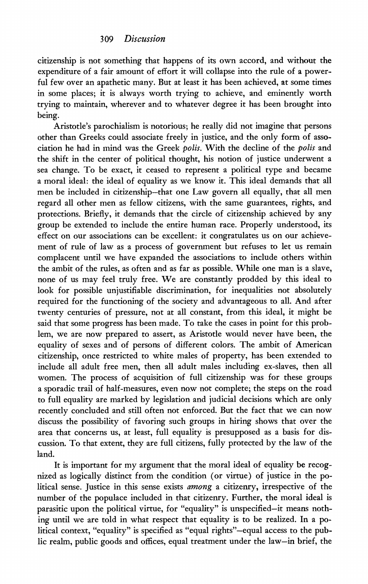citizenship is not something that happens of its own accord, and without the expenditure of a fair amount of effort it will collapse into the rule of a powerful few over an apathetic many. But at least it has been achieved, at some times in some places; it is always worth trying to achieve, and eminently worth trying to maintain, wherever and to whatever degree it has been brought into being.

Aristotle's parochialism is notorious; he really did not imagine that persons other than Greeks could associate freely in justice, and the only form of association he had in mind was the Greek **polis.** With the decline of the **polis** and the shift in the center of political thought, his notion of justice underwent a sea change. To be exact, it ceased to represent a political type and became a moral ideal: the ideal of equality as we know it. This ideal demands that all men be included in citizenship-that one Law govern all equally, that all men regard all other men as fellow citizens, with the same guarantees, rights, and protections. Briefly, it demands that the circle of citizenship achieved by any group be extended to include the entire human race. Properly understood, its effect on our associations can be excellent: it congratulates us on our achievement of rule of law as a process of government but refuses to let us remain complacent until we have expanded the associations to include others within the ambit of the rules, as often and as far as possible. While one man is a slave, none of us may feel truly free. We are constantly prodded by this ideal to look for possible unjustifiable discrimination, for inequalities not absolutely required for the functioning of the society and advantageous to all. And after twenty centuries of pressure, not at all constant, from this ideal, it might be said that some progress has been made. To take the cases in point for this problem, we are now prepared to assert, as Aristotle would never have been, the equality of sexes and of persons of different colors. The ambit of American citizenship, once restricted to white males of property, has been extended to include all adult free men, then all adult males including ex-slaves, then all women. The process of acquisition of full citizenship was for these groups a sporadic trail of half-measures, even now not complete; the steps on the road to full equality are marked by legislation and judicial decisions which are only recently concluded and still often not enforced. But the fact that we can now discuss the possibility of favoring such groups in hiring shows that over the area that concerns us, at least, full equality is presupposed as a basis for discussion. To that extent, they are full citizens, fully protected by the law of the land.

It is important for my argument that the moral ideal of equality be recognized as logically distinct from the condition (or virtue) of justice in the political sense. Justice in this sense exists **among** a citizenry, irrespective of the number of the populace included in that citizenry. Further, the moral ideal is parasitic upon the political virtue, for "equality" is unspecified-it means nothing until we are told in what respect that equality is to be realized. In a political context, "equality" is specified as "equal rights"-equal access to the public realm, public goods and offices, equal treatment under the law-in brief, the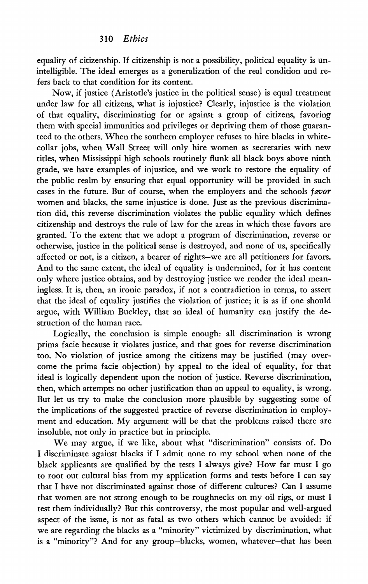equality of citizenship. If citizenship is not a possibility, political equality is unintelligible. The ideal emerges as a generalization of the real condition and refers back to that condition for its content.

Now, if justice (Aristotle's justice in the political sense) is equal treatment under law for all citizens, what is injustice? Clearly, injustice is the violation of that equality, discriminating for or against a group of citizens, favoring them with special immunities and privileges or depriving them of those guaranteed to the others. When the southern employer refuses to hire blacks in whitecollar jobs, when Wall Street will only hire women as secretaries with new titles, when Mississippi high schools routinely flunk all black boys above ninth grade, we have examples of injustice, and we work to restore the equality of the public realm by ensuring that equal opportunity will be provided in such cases in the future. But of course, when the employers and the schools *favor*  women and blacks, the same injustice is done. Just as the previous discrimination did, this reverse discrimination violates the public equality which defines citizenship and destroys the rule of law for the areas in which these favors are granted. To the extent that we adopt a program of discrimination, reverse or otherwise, justice in the political sense is destroyed, and none of us, specifically affected or not, is a citizen, a bearer of rights-we are all petitioners for favors. And to the same extent, the ideal of equality is undermined, for it has content only where justice obtains, and by destroying justice we render the ideal meaningless. It is, then, an ironic paradox, if not a contradiction in terms, to assert that the ideal of equality justifies the violation of justice; it is as if one should argue, with William Buckley, that an ideal of humanity can justify the destruction of the human race.

Logically, the conclusion is simple enough: all discrimination is wrong prima facie because it violates justice, and that goes for reverse discrimination too. No violation of justice among the citizens may be justified (may overcome the prima facie objection) by appeal to the ideal of equality, for that ideal is logically dependent upon the notion of justice. Reverse discrimination, then, which attempts no other justification than an appeal to equality, is wrong. But let us try to make the conclusion more plausible by suggesting some of the implications of the suggested practice of reverse discrimination in employment and education. My argument will be that the problems raised there are insoluble, not only in practice but in principle.

We may argue, if we like, about what "discrimination" consists of. Do I discriminate against blacks if I admit none to my school when none of the black applicants are qualified by the tests I always give? How far must I go to root out cultural bias from my application forms and tests before I can say that I have not discriminated against those of different cultures? Can I assume that women are not strong enough to be roughnecks on my oil rigs, or must I test them individually? But this controversy, the most popular and well-argued aspect of the issue, is not as fatal as two others which cannot be avoided: if we are regarding the blacks as a "minority" victimized by discrimination, what is a "minority"? And for any group-blacks, women, whatever-that has been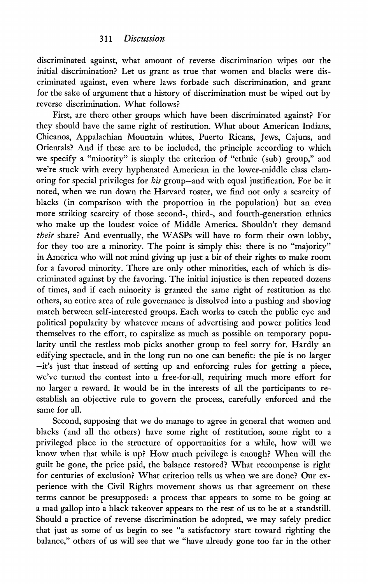discriminated against, what amount of reverse discrimination wipes out the initial discrimination? Let us grant as true that women and blacks were discriminated against, even where laws forbade such discrimination, and grant for the sake of argument that a history of discrimination must be wiped out by reverse discrimination. What follows?

First, are there other groups which have been discriminated against? For they should have the same right of restitution. What about American Indians, Chicanos, Appalachian Mountain whites, Puerto Ricans, Jews, Cajuns, and Orientals? And if these are to be included, the principle according to which we specify a "minority" is simply the criterion of "ethnic (sub) group," and we're stuck with every hyphenated American in the lower-middle class clamoring for special privileges for *his* group-and with equal justification. For be it noted, when we run down the Harvard roster, we find not only a scarcity of blacks (in comparison with the proportion in the population) but an even more striking scarcity of those second-, third-, and fourth-generation ethnics who make up the loudest voice of Middle America. Shouldn't they demand *their* share? And eventually, the WASPs will have to form their own lobby, for they too are a minority. The point is simply this: there is no "majority" in America who will not mind giving up just a bit of their rights to make room for a favored minority. There are only other minorities, each of which is discriminated against by the favoring. The initial injustice is then repeated dozens of times, and if each minority is granted the same right of restitution as the others, an entire area of rule governance is dissolved into a pushing and shoving match between self-interested groups. Each works to catch the public eye and political popularity by whatever means of advertising and power politics lend themselves to the effort, to capitalize as much as possible on temporary popularity until the restless mob picks another group to feel sorry for. Hardly an edifying spectacle, and in the long run no one can benefit: the pie is no larger -it's just that instead of setting up and enforcing rules for getting a piece, we've turned the contest into a free-for-all, requiring much more effort for no larger a reward. It would be in the interests of all the participants to reestablish an objective rule to govern the process, carefully enforced and the same for all.

Second, supposing that we do manage to agree in general that women and blacks (and all the others) have some right of restitution, some right to a privileged place in the structure of opportunities for a while, how will we know when that while is up? How much privilege is enough? When will the guilt be gone, the price paid, the balance restored? What recompense is right for centuries of exclusion? What criterion tells us when we are done? Our experience with the Civil Rights movement shows us that agreement on these terms cannot be presupposed: a process that appears to some to be going at a mad gallop into a black takeover appears to the rest of us to be at a standstill. Should a practice of reverse discrimination be adopted, we may safely predict that just as some of us begin to see "a satisfactory start toward righting the balance," others of us will see that we "have already gone too far in the other